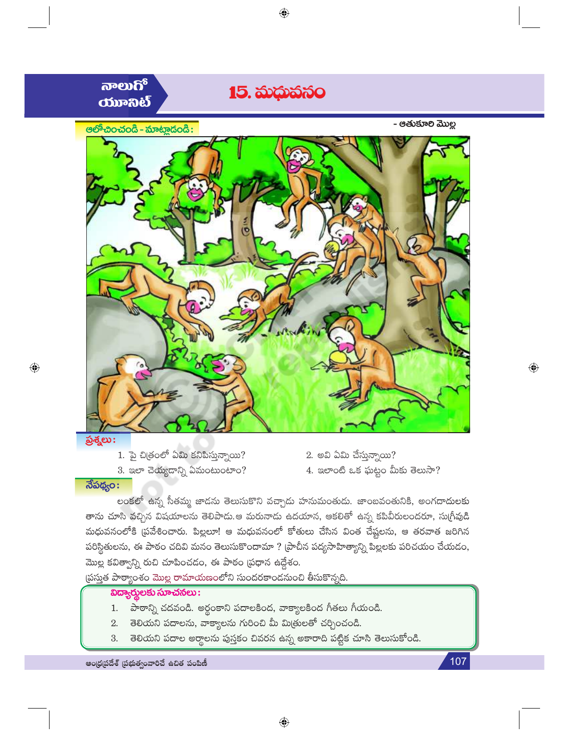

- 1. పై చిత్రంలో ఏమి కనిపిస్తున్నాయి?
- 3. ఇలా చెయ్యదాన్ని ఏమంటుంటాం?
- 2. అవి ఏమి చేస్తున్నాయి? 4. ఇలాంటి ఒక ఘట్టం మీకు తెలుసా?

## $\overline{\mathfrak{F}}$ పథ్యం:

లంకలో ఉన్న సీతమ్మ జాడను తెలుసుకొని వచ్చాడు హనుమంతుడు. జాంబవంతునికి, అంగదాదులకు తాను చూసి వచ్చిన విషయాలను తెలిపాడు.ఆ మరునాడు ఉదయాన, ఆకలితో ఉన్న కపివీరులందరూ, సుగ్రీవుడి మధువనంలోకి (పవేశించారు. పిల్లలూ! ఆ మధువనంలో కోతులు చేసిన వింత చేష్టలను, ఆ తరవాత జరిగిన పరిస్థితులను, ఈ పాఠం చదివి మనం తెలుసుకొందామా ? (పాచీన పద్యసాహిత్యాన్ని పిల్లలకు పరిచయం చేయడం, మొల్ల కవిత్వాన్ని రుచి చూపించడం, ఈ పాఠం (పధాన ఉద్దేశం.

ప్రస్తుత పాఠ్యాంశం మొల్ల రామాయణంలోని సుందరకాండనుంచి తీసుకొన్నది.

#### విద్యార్శలకు సూచనలు:

- 1. పాఠాన్ని చదవండి. అర్థంకాని పదాలకింద, వాక్యాలకింద గీతలు గీయండి.
- తెలియని పదాలను, వాక్యాలను గురించి మీ మిత్రులతో చర్చించండి. 2.
- తెలియని పదాల అర్థాలను పుస్తకం చివరన ఉన్న అకారాది పట్టిక చూసి తెలుసుకోండి. 3.

ఆంధ్రప్రదేశ్ (పభుత్వంవారిచే ఉచిత పంపిణీ

107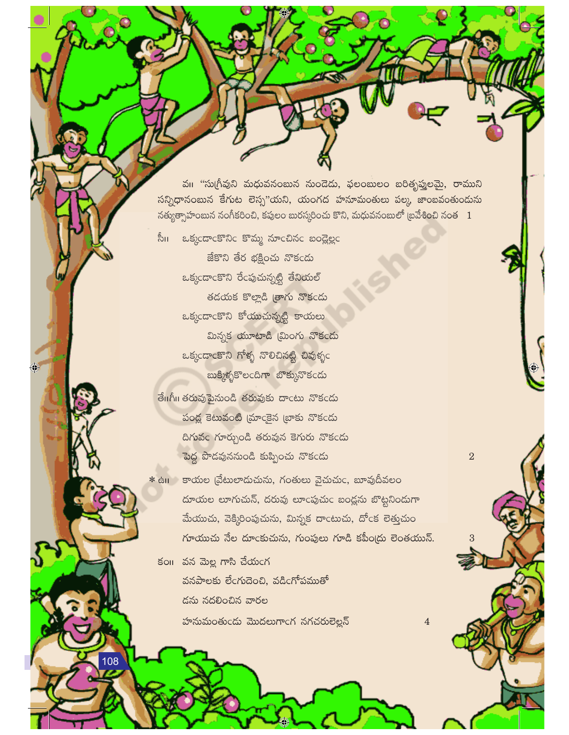వు "సుగ్రీవుని మధువనంబున నుండెడు, ఫలంబులం బరిత్నప్తులమై, రాముని సన్నిధానంబున కేగుట లెస్ప"యని, యంగద హనూమంతులు పల్క జాంబవంతుందును నత్యుత్సాహంబున నంగీకరించి, కపులం బురస్కరించు కొని, మధువనంబులో బ్రవేశించి నంత  $1$ 

సీ॥ ఒక్కండాంకొనిం కొమ్మ నూంచినం బండ్లెల్లం

జేకొని తేర భక్షించు నొకండు ఒక్కందాంకొని రేంపుచున్నట్టి తేనియల్ తదయక కొల్లాడి త్రాగు నొకండు ఒక్కందాంకొని కోయుచున్నట్టి కాయలు మిన్నక యూటాడి (మింగు నొకండు ఒక్కండాంకొని గోళ్ళ నొలిచినట్టి చివుళ్ళం బుక్కిళ్ళకొలందిగా బొక్కునొకండు

 $\bigcirc$ 

108

తే။గీ။ తరువుపైనుండి తరువుకు దాంటు నొకండు పండ్ల కెటువంటి (మాంకైన బ్రాకు నొకండు ది<mark>గువం గూర్చుండి తరువున కెగురు నొకండు</mark> పెద్ద పొడవుననుండి కుప్పించు నొకండు

\* ఉ॥ కాయల (వేటులాదుచును, గంతులు వైచుచుc, బూవుదీవలం దూయల లూగుచున్, దరువు లూంపుచుం బంద్లను బొట్టనిందుగా మేయుచు, వెక్కిరింపుచును, మిన్నక దాంటుచు, దోంక లెత్తుచుం గూయుచు నేల దూంకుచును, గుంపులు గూడి కపీం(దు లెంతయున్.  $\overline{2}$ 

 $\overline{4}$ 

కం။ వన మెల్ల గాసి చేయంగ వనపాలకు లేంగుదెంచి, వడింగోపముతో డను నదలించిన వారల హనుమంతుండు మొదలుగాంగ నగచరులెల్లన్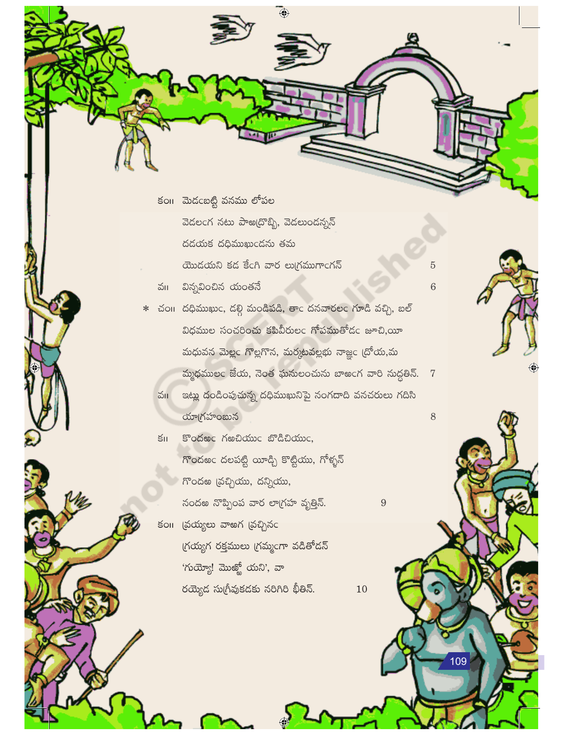కం మెదంబట్టి వనము లోపల వెడలంగ నటు పాఱ(దొబ్బి, వెడలుండన్నన్ රුරාජ රදි කාහාදරු හිත

యొదయని కడ కేంగి వార లుగ్రముగాంగన్

- వు విన్నవించిన యంతనే
- \* చం11 దధిముఖుం, దల్గి మండిపడి, తాం దనవారలం గూడి వచ్చి, బల్ విధముల సంచరించు కపివీరులం గోపముతోడం జూచి,యీ మధువన మెల్లం గొల్లగొన, మర్కటవల్లభు నాజ్ఞం (దోయ,మ మ్మధములం జేయ, నెంత ఘనులంచును బాఅంగ వారి నుద్దతిన్. 7 వు ఇట్లు దండింపుచున్న దధిముఖునిపై నంగదాది వనచరులు గదిసి యాగ్రహంబున

 $\overline{\bigcirc}$ 

Sodec Kendowc బొడిచియుం,  $\mathsf{S}\mathsf{II}$ గొందఱం దలపట్టి యీడ్చి కొట్టియు, గోళ్ళన్ గొందఱ (వచ్చియు, దన్నియు, నందఱ నొప్పింప వార లాగ్రహ వృత్తిన్. కంగా (వయ్యలు వాఱగ (వచ్చినం గ్రయ్యగ రక్తములు గ్రమ్మంగా వడితోడన్

'గుయ్యో! మొఱ్ఱో యని', వా

రయ్యెద సుగ్రీవుకదకు నరిగిరి భీతిన్.

10

9

 $\overline{5}$ 

 $6\phantom{1}6$ 

8

09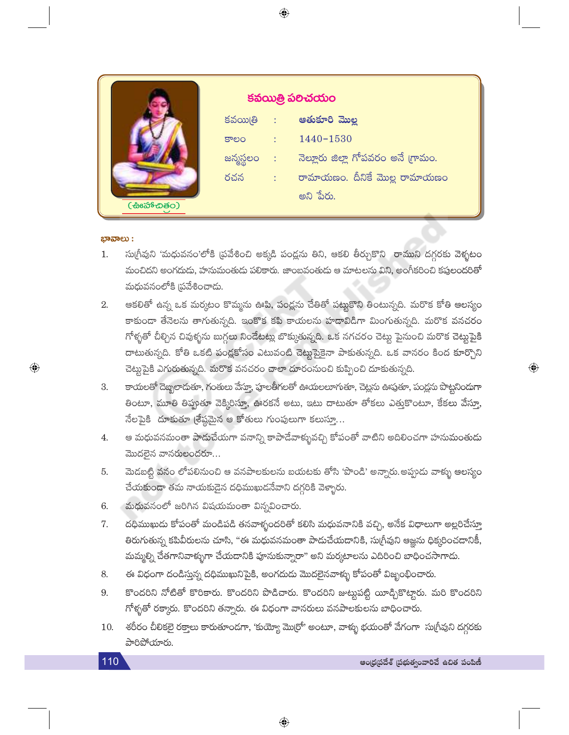|              | కవయిత్రి పలిచయం |                        |                                    |
|--------------|-----------------|------------------------|------------------------------------|
|              |                 |                        | కవయితి : ఆతుకూరి మొల్ల             |
|              | కాలం            |                        | $: 1440 - 1530$                    |
|              | జన్మస్థలం :     |                        | నెల్లూరు జిల్లా గోపవరం అనే గ్రామం. |
|              | రచన             | $\sqrt{1-\frac{1}{2}}$ | రామాయణం. దీనికే మొల్ల రామాయణం      |
| (ස්ෘක්සින්ර) |                 |                        | అని పేరు.                          |

#### ಭಾವಾಲು :

 $\bigoplus$ 

- సుగ్రీవుని 'మధువనం'లోకి (పవేశించి అక్కడి పండ్లను తిని, ఆకలి తీర్చుకొని రాముని దగ్గరకు వెళ్ళటం  $1.$ మంచిదని అంగదుడు, హనుమంతుడు పలికారు. జాంబవంతుడు ఆ మాటలను విని, అంగీకరించి కపులందరితో మధువనంలోకి (పవేశించాడు.
- ఆకలితో ఉన్న ఒక మర్కటం కొమ్మను ఊపి, పండ్లను చేతితో పట్టుకొని తింటున్నది. మరొక కోతి ఆలస్యం 2. కాకుండా తేనెలను తాగుతున్నది. ఇంకొక కపి కాయలను హడావిడిగా మింగుతున్నది. మరొక వనచరం గోళ్ళతో చీల్చిన చివుళ్ళను బుగ్గలు నిండేటట్లు బొక్కుతున్నది. ఒక నగచరం చెట్టు పైనుంచి మరొక చెట్టుపైకి దాటుతున్నది. కోతి ఒకటి పండ్లకోసం ఎటువంటి చెట్టుపైకైనా పాకుతున్నది. ఒక వానరం కింద కూర్చొని చెట్టుపైకి ఎగురుతున్నది. మరొక వనచరం చాలా దూరంనుంచి కుప్పించి దూకుతున్నది.
- కాయలతో దెబ్బలాదుతూ, గంతులు వేస్తూ, పూలతీగలతో ఊయలలూగుతూ, చెట్లను ఊపుతూ, పండ్లను పొట్టనిందుగా 3. తింటూ, మూతి తిప్పుతూ వెక్కిరిస్తూ, ఊరకనే అటు, ఇటు దాటుతూ తోకలు ఎత్తుకొంటూ, కేకలు వేస్తూ, నేలపైకి దూకుతూ (శేష్ఠమైన ఆ కోతులు గుంపులుగా కలుస్తూ...
- ఆ మధువనమంతా పాడుచేయగా వనాన్ని కాపాడేవాళ్ళువచ్చి కోపంతో వాటిని అదిలించగా హను<mark>మంతు</mark>డు  $4.$ మొదలైన వానరులందరూ...
- మెడబట్టి వనం లోపలినుంచి ఆ వనపాలకులను బయటకు తోసి 'పొండి' అన్నారు.అప్పుడు వాళ్ళు ఆలస్యం 5. చేయకుండా తమ నాయకుడైన దధిముఖుడనేవాని దగ్గరికి వెళ్ళారు.
- మధువనంలో జరిగిన విషయమంతా విన్నవించారు. 6.
- దధిముఖుడు కోపంతో మండిపడి తనవాళ్ళందరితో కలిసి మధువనానికి వచ్చి, అనేక విధాలుగా అల్లరిచేస్తూ 7. తిరుగుతున్న కపివీరులను చూసి, "ఈ మధువనమంతా పాడుచేయడానికి, సుగ్రీవుని ఆజ్ఞను ధిక్కరించడానికీ, మమ్మల్ని చేతగానివాళ్ళుగా చేయడానికి పూనుకున్నారా" అని మర్కటాలను ఎదిరించి బాధించసాగాదు.
- ఈ విధంగా దండిస్తున్న దధిముఖునిపైకి, అంగదుడు మొదలైనవాళ్ళు కోపంతో విజృంభించారు. 8.
- 9. కొందరిని నోటితో కొరికారు. కొందరిని పొడిచారు. కొందరిని జుట్టపట్టి యీడ్చికొట్టారు. మరి కొందరిని గోళ్ళతో రక్కారు. కొందరిని తన్నారు. ఈ విధంగా వానరులు వనపాలకులను బాధించారు.
- శరీరం చీలికలై రక్తాలు కారుతూండగా, 'కుయ్యో మొర్రో' అంటూ, వాళ్ళు భయంతో వేగంగా సుగ్రీవుని దగ్గరకు 10. పారిపోయారు.

 $\bigoplus$ 

 $\hat{\mathbb{Q}}$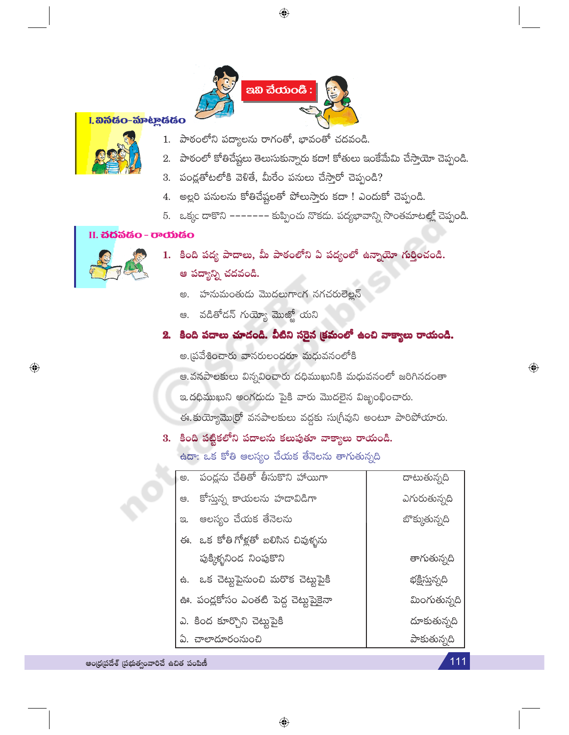

#### I. හිතියිo-කිංහුයියිo



- పాఠంలోని పద్యాలను రాగంతో, భావంతో చదవండి.  $1.$
- పాఠంలో కోతిచేష్టలు తెలుసుకున్నారు కదా! కోతులు ఇంకేమేమి చేస్తాయో చెప్పండి. 2.
- 3. పండ్లతోటలోకి వెళితే, మీరేం పనులు చేస్తారో చెప్పండి?
- 4. అల్లరి పనులను కోతిచేష్టలతో పోలుస్తారు కదా ! ఎందుకో చెప్పండి.
- 5. ఒక్కం డాకొని ------- కుప్పించు నొకదు. పద్యభావాన్ని సొంతమాటల్లో చెప్పండి.

#### II. **చద**వడం - రాయడం



 $\bigoplus$ 

- 1. కింది పద్య పాదాలు, మీ పాఠంలోని ఏ పద్యంలో ఉన్నాయో గుర్తించండి.
	- ఆ పద్యాన్ని చదవండి.
		- అ. హనుమంతుడు మొదలుగాంగ నగచరులెల్లన్
		- ఆ. వడితోడన్ గుయ్యో మొత్మో యని

# 2. కింది పదాలు చూడండి. వీటిని సరైన క్రమంలో ఉంచి వాక్యాలు రాయండి.

అ.(పవేశించారు వానరులందరూ మధువనంలోకి

ఆ.వనపాలకులు విన్నవించారు దధిముఖునికి మధువనంలో జరిగినదంతా

ఇ.దధిముఖుని అంగదుడు పైకి వారు మొదలైన విజృంభించారు.

ఈ. కుయ్యోమొర్రో వనపాలకులు వద్దకు సుగ్రీవుని అంటూ పారిపోయారు.

# 3. కింది పట్టికలోని పదాలను కలుపుతూ వాక్యాలు రాయండి. ఉదా: ఒక కోతి ఆలస్యం చేయక తేనెలను తాగుతున్నది

| ్అ.  పండ్లను చేతితో తీసుకొని హాయిగా   | దాటుతున్నది    |
|---------------------------------------|----------------|
| కోస్తున్న కాయలను హడావిడిగా<br>ఆ.      | ఎగురుతున్నది   |
| ఆలస్యం చేయక తేనెలను<br>$\infty$ .     | బొక్కుతున్నది  |
| ఈ. ఒక కోతి గోళ్లతో బలిసిన చివుళ్ళను   |                |
| పుక్కిళ్ళనిండ నింపుకొని               | తాగుతున్నది    |
| ఉ. ఒక చెట్టుపైనుంచి మరొక చెట్టుపైకి   | భక్షిస్తున్నది |
| ఊ. పండ్లకోసం ఎంతటి పెద్ద చెట్టుపైకైనా | మింగుతున్నది   |
| ఎ. కింద కూర్చొని చెట్టుపైకి           | దూకుతున్నది    |
| ఏ. చాలాదూరంనుంచి                      | పాకుతున్నది    |

ఆంధ్రప్రదేశ్ ప్రభుత్వంవారిచే ఉచిత పంపిణీ

111

 $\bigoplus$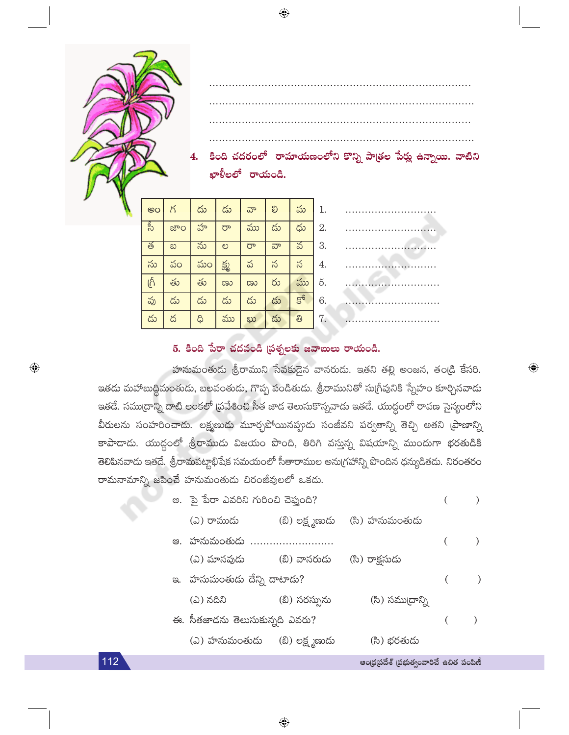

#### 5. కింది పేరా చదవండి (పశ్నలకు జవాబులు రాయండి.

హనుమంతుదు శ్రీరాముని సేవకుదైన వానరుదు. ఇతని తల్లి అంజన, తండ్రి కేసరి. ఇతడు మహాబుద్ధిమంతుడు, బలవంతుడు, గొప్ప పండితుడు. శ్రీరామునితో సుగ్రీవునికి స్నేహం కూర్చినవాడు ఇతడే. సముద్రాన్ని దాటి లంకలో (ప్రవేశించి సీత జాద తెలుసుకొన్నవాడు ఇతడే. యుద్ధంలో రావణ సైన్యంలోని వీరులను సంహరించాడు. లక్ష్మణుడు మూర్ఛపోయినప్పుడు సంజీవని పర్వతాన్ని తెచ్చి అతని (పాణాన్ని కాపాదాడు. యుద్ధంలో శ్రీరాముడు విజయం పొంది, తిరిగి వస్తున్న విషయాన్ని ముందుగా భరతుడికి తెలిపినవాదు ఇతదే. శ్రీరామపట్టాభిషేక సమయంలో సీతారాముల అనుగ్రహాన్ని పొందిన ధన్యుడితదు. నిరంతరం రామనామాన్ని జపించే హనుమంతుడు చిరంజీవులలో ఒకడు.

|    | అ. పై పేరా ఎవరిని గురించి చెప్తుంది? |                 |                 |  |
|----|--------------------------------------|-----------------|-----------------|--|
|    | (ఎ) రాముడు                           | (బి) లక్ష్మణుదు | (సి) హనుమంతుడు  |  |
| ఆ. | హనుమంతుడు                            |                 |                 |  |
|    | (ఎ) మానవుడు                          | (బీ) వానరుడు    | (సి) రాక్షసుడు  |  |
| ප. | హనుమంతుడు దేన్ని దాటాడు?             |                 |                 |  |
|    | (ఎ) నదిని                            | (బి) సరస్సును   | (సి) సము[దాన్ని |  |
|    | ఈ. సీతజాదను తెలుసుకున్నది ఎవరు?      |                 |                 |  |
|    | (ఎ) హనుమంతుడు                        | (బి) లక్ష్మణుడు | (సి) భరతుడు     |  |
|    |                                      |                 |                 |  |

112

 $\bigoplus$ 

ఆంధ్రప్రదేశ్ (పభుత్వంవారిచే ఉచిత పంపిణీ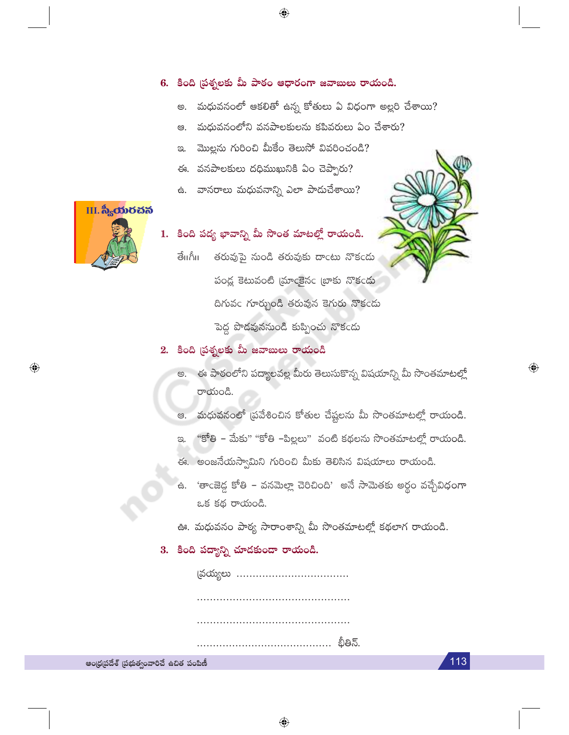#### 6. కింది ప్రశ్నలకు మీ పాఠం ఆధారంగా జవాబులు రాయండి.

 $\bigoplus$ 

- మధువనంలో ఆకలితో ఉన్న కోతులు ఏ విధంగా అల్లరి చేశాయి? అ.
- మధువనంలోని వనపాలకులను కపివరులు ఏం చేశారు? ල.
- మొల్లను గురించి మీకేం తెలుసో వివరించండి? ප.
- ఈ. వనపాలకులు దధిముఖునికి ఏం చెప్పారు?
- ఉ. వానరాలు మధువనాన్ని ఎలా పాడుచేశాయి?



 $\bigoplus$ 

# 1. కింది పద్య భావాన్ని మీ సొంత మాటల్లో రాయండి.

తరువుపై నుండి తరువుకు దాంటు నొకండు తేπగీగి పండ్ల కెటువంటి [మాంకైనం [బాకు నొకండు దిగువం గూర్చుండి తరువున కెగురు నొకండు పెద్ద పొడవుననుండి కుప్పించు నొకండు

#### 2. కింది ప్రశ్నలకు మీ జవాబులు రాయండి

అ. ఈ పాఠంలోని పద్యాలవల్ల మీరు తెలుసుకొన్న విషయాన్ని మీ సొంతమాటల్లో రాయండి.

 $\bigoplus$ 

113

- మధువనంలో (పవేశించిన కోతుల చేష్టలను మీ సొంతమాటల్లో రాయండి. ල.
- "కోతి మేకు" "కోతి –పిల్లలు" వంటి కథలను సొంతమాటల్లో రాయండి. ප.
- ఈ. అంజనేయస్వామిని గురించి మీకు తెలిసిన విషయాలు రాయండి.
- ఉ. 'తాంజెడ్డ కోతి వనమెల్లా చెరిచింది' అనే సామెతకు అర్థం వచ్చేవిధంగా ఒక కథ రాయండి.
- ఊ. మధువనం పాఠ్య సారాంశాన్ని మీ సొంతమాటల్లో కథలాగ రాయండి.

### 3. కింది పద్యాన్ని చూడకుండా రాయండి.

భీతిన్.

ఆంధ్రప్రదేశ్ (పభుత్వంవారిచే ఉచిత పంపిణీ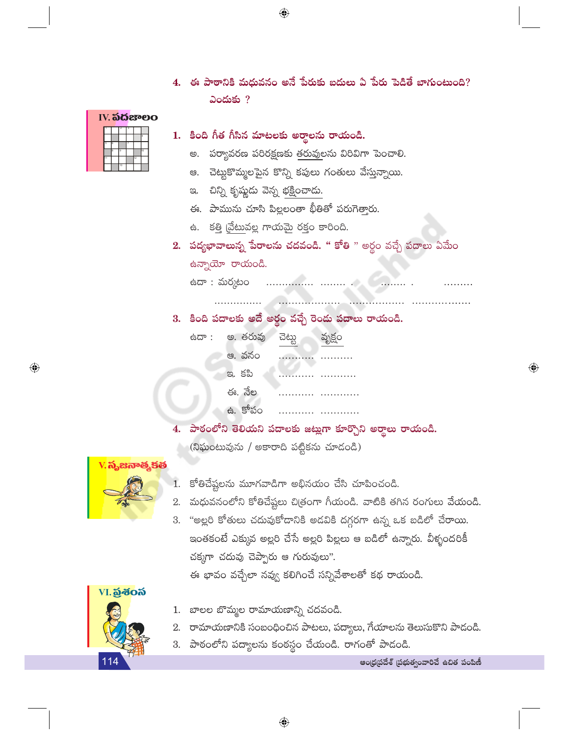- $\bigoplus$
- 4. ఈ పాఠానికి మధువనం అనే పేరుకు బదులు ఏ పేరు పెడితే బాగుంటుంది?  $\log 2$
- **IV. ನದಚೌಲಂ**

### 1. కింది గీత గీసిన మాటలకు అర్థాలను రాయండి.

- అ. పర్యావరణ పరిరక్షణకు తరువులను విరివిగా పెంచాలి.
- ఆ. చెట్టుకొమ్మలపైన కొన్ని కపులు గంతులు వేస్తున్నాయి.
- ఇ. చిన్ని కృష్ణుడు వెన్న భక్షించాడు.
- ఈ. పామును చూసి పిల్లలంతా భీతితో పరుగెత్తారు.
- ఉ. కత్తి చ్రేటువల్ల గాయమై రక్తం కారింది.
- 2. పద్యభావాలున్న పేరాలను చదవండి. " కోతి " అర్థం వచ్చే పదాలు ఏమేం ఉన్నాయో రాయండి.

 $\bigoplus$ 

台

3. కింది పదాలకు అదే అర్ధం వచ్చే రెండు పదాలు రాయండి.

| ದ್ : | అ. తరువు | ವెట్టు | వృక్షం |
|------|----------|--------|--------|
|      | ఆ. వనం   |        |        |
|      | ఇ. కపి   |        |        |
|      | ఈ. నేల   |        |        |
|      | ఉ. కోపం  |        |        |

4. పాఠంలోని తెలియని పదాలకు జట్లుగా కూర్చొని అర్థాలు రాయండి. (నిఘంటువును / అకారాది పట్టికను చూడండి)



 $\bigoplus$ 

- కోతిచేష్టలను మూగవాడిగా అభినయం చేసి చూపించండి.
- 2. మధువనంలోని కోతిచేష్టలు చిత్రంగా గీయండి. వాటికి తగిన రంగులు వేయండి.
- 3. "అల్లరి కోతులు చదువుకోదానికి అడవికి దగ్గరగా ఉన్న ఒక బడిలో చేరాయి. ఇంతకంటే ఎక్కువ అల్లరి చేసే అల్లరి పిల్లలు ఆ బడిలో ఉన్నారు. వీళ్ళందరికీ చక్కగా చదువు చెప్పారు ఆ గురువులు".

ఈ భావం వచ్చేలా నవ్వు కలిగించే సన్నివేశాలతో కథ రాయండి.



- 1. బాలల బొమ్మల రామాయణాన్ని చదవండి.
- 2. రామాయణానికి సంబంధించిన పాటలు, పద్యాలు, గేయాలను తెలుసుకొని పాడండి.
- 3. పాఠంలోని పద్యాలను కంఠస్థం చేయండి. రాగంతో పాడండి.

ఆంధ్రప్రదేశ్ (పభుత్వంవారిచే ఉచిత పంపిణీ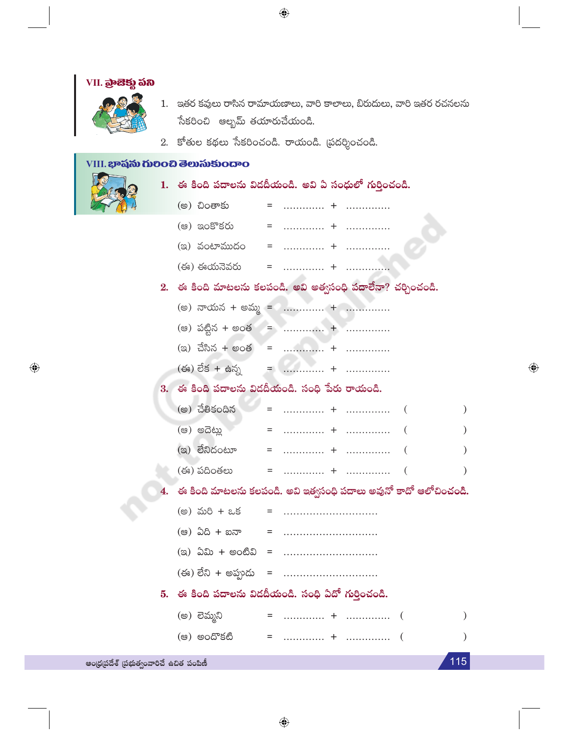

 $\textcolor{black}{\textcircled{\small\textrm{-}}}$ 

 $\lambda$ 

 $\lambda$ 

 $\lambda$ 

 $\mathcal{E}$ 

 $\mathcal{E}$ 

115

ఆంధ్రప్రదేశ్ (పభుత్వంవారిచే ఉచిత పంపిణీ

 $\bigoplus$